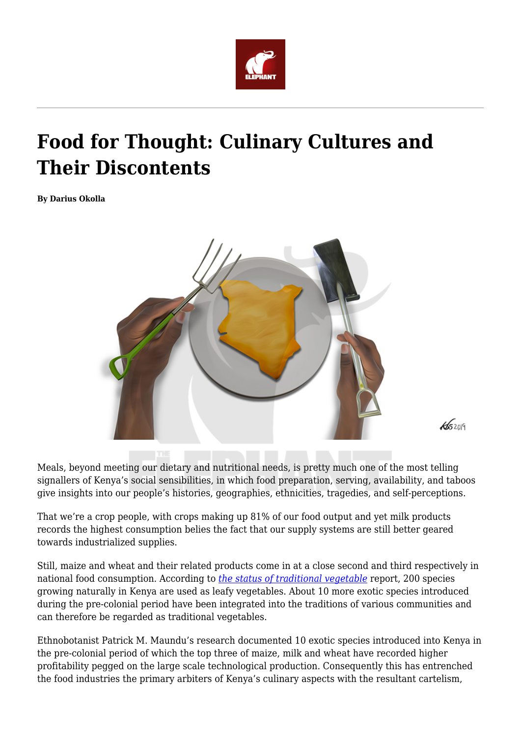

# **Food for Thought: Culinary Cultures and Their Discontents**

**By Darius Okolla**



 $45209$ 

Meals, beyond meeting our dietary and nutritional needs, is pretty much one of the most telling signallers of Kenya's social sensibilities, in which food preparation, serving, availability, and taboos give insights into our people's histories, geographies, ethnicities, tragedies, and self-perceptions.

That we're a crop people, with crops making up 81% of our food output and yet milk products records the highest consumption belies the fact that our supply systems are still better geared towards industrialized supplies.

Still, maize and wheat and their related products come in at a close second and third respectively in national food consumption. According to *[the status of traditional vegetable](https://www.bioversityinternational.org/fileadmin/bioversity/publications/Web_version/500/ch09.htm)* report, 200 species growing naturally in Kenya are used as leafy vegetables. About 10 more exotic species introduced during the pre-colonial period have been integrated into the traditions of various communities and can therefore be regarded as traditional vegetables.

Ethnobotanist Patrick M. Maundu's research documented 10 exotic species introduced into Kenya in the pre-colonial period of which the top three of maize, milk and wheat have recorded higher profitability pegged on the large scale technological production. Consequently this has entrenched the food industries the primary arbiters of Kenya's culinary aspects with the resultant cartelism,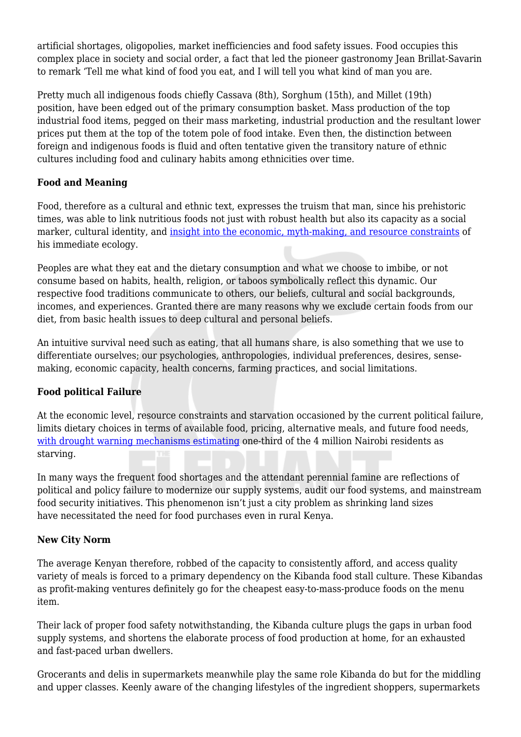artificial shortages, oligopolies, market inefficiencies and food safety issues. Food occupies this complex place in society and social order, a fact that led the pioneer gastronomy Jean Brillat-Savarin to remark 'Tell me what kind of food you eat, and I will tell you what kind of man you are.

Pretty much all indigenous foods chiefly Cassava (8th), Sorghum (15th), and Millet (19th) position, have been edged out of the primary consumption basket. Mass production of the top industrial food items, pegged on their mass marketing, industrial production and the resultant lower prices put them at the top of the totem pole of food intake. Even then, the distinction between foreign and indigenous foods is fluid and often tentative given the transitory nature of ethnic cultures including food and culinary habits among ethnicities over time.

## **Food and Meaning**

Food, therefore as a cultural and ethnic text, expresses the truism that man, since his prehistoric times, was able to link nutritious foods not just with robust health but also its capacity as a social marker, cultural identity, and [insight into the economic, myth-making, and resource constraints](http://www.hakenya.net/ajhs/index.php/ajhs/article/download/157/126/) of his immediate ecology.

Peoples are what they eat and the dietary consumption and what we choose to imbibe, or not consume based on habits, health, religion, or taboos symbolically reflect this dynamic. Our respective food traditions communicate to others, our beliefs, cultural and social backgrounds, incomes, and experiences. Granted there are many reasons why we exclude certain foods from our diet, from basic health issues to deep cultural and personal beliefs.

An intuitive survival need such as eating, that all humans share, is also something that we use to differentiate ourselves; our psychologies, anthropologies, individual preferences, desires, sensemaking, economic capacity, health concerns, farming practices, and social limitations.

## **Food political Failure**

At the economic level, resource constraints and starvation occasioned by the current political failure, limits dietary choices in terms of available food, pricing, alternative meals, and future food needs, [with drought warning mechanisms estimating](https://kenya.oxfam.org/latest/policy-paper/urban-early-warning-early-action) one-third of the 4 million Nairobi residents as starving.

In many ways the frequent food shortages and the attendant perennial famine are reflections of political and policy failure to modernize our supply systems, audit our food systems, and mainstream food security initiatives. This phenomenon isn't just a city problem as shrinking land sizes have necessitated the need for food purchases even in rural Kenya.

# **New City Norm**

The average Kenyan therefore, robbed of the capacity to consistently afford, and access quality variety of meals is forced to a primary dependency on the Kibanda food stall culture. These Kibandas as profit-making ventures definitely go for the cheapest easy-to-mass-produce foods on the menu item.

Their lack of proper food safety notwithstanding, the Kibanda culture plugs the gaps in urban food supply systems, and shortens the elaborate process of food production at home, for an exhausted and fast-paced urban dwellers.

Grocerants and delis in supermarkets meanwhile play the same role Kibanda do but for the middling and upper classes. Keenly aware of the changing lifestyles of the ingredient shoppers, supermarkets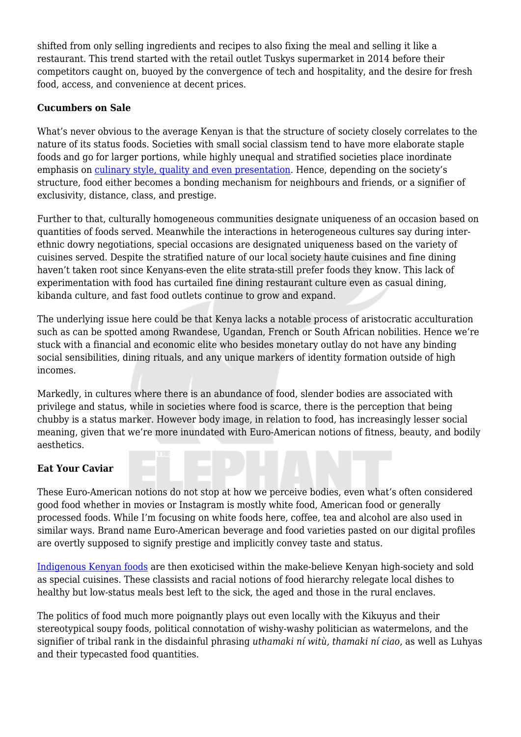shifted from only selling ingredients and recipes to also fixing the meal and selling it like a restaurant. This trend started with the retail outlet Tuskys supermarket in 2014 before their competitors caught on, buoyed by the convergence of tech and hospitality, and the desire for fresh food, access, and convenience at decent prices.

## **Cucumbers on Sale**

What's never obvious to the average Kenyan is that the structure of society closely correlates to the nature of its status foods. Societies with small social classism tend to have more elaborate staple foods and go for larger portions, while highly unequal and stratified societies place inordinate emphasis on [culinary style, quality and even presentation](https://www.bioversityinternational.org/fileadmin/bioversity/publications/Web_version/500/p068.jpg). Hence, depending on the society's structure, food either becomes a bonding mechanism for neighbours and friends, or a signifier of exclusivity, distance, class, and prestige.

Further to that, culturally homogeneous communities designate uniqueness of an occasion based on quantities of foods served. Meanwhile the interactions in heterogeneous cultures say during interethnic dowry negotiations, special occasions are designated uniqueness based on the variety of cuisines served. Despite the stratified nature of our local society haute cuisines and fine dining haven't taken root since Kenyans-even the elite strata-still prefer foods they know. This lack of experimentation with food has curtailed fine dining restaurant culture even as casual dining, kibanda culture, and fast food outlets continue to grow and expand.

The underlying issue here could be that Kenya lacks a notable process of aristocratic acculturation such as can be spotted among Rwandese, Ugandan, French or South African nobilities. Hence we're stuck with a financial and economic elite who besides monetary outlay do not have any binding social sensibilities, dining rituals, and any unique markers of identity formation outside of high incomes.

Markedly, in cultures where there is an abundance of food, slender bodies are associated with privilege and status, while in societies where food is scarce, there is the perception that being chubby is a status marker. However body image, in relation to food, has increasingly lesser social meaning, given that we're more inundated with Euro-American notions of fitness, beauty, and bodily aesthetics.

# **Eat Your Caviar**

These Euro-American notions do not stop at how we perceive bodies, even what's often considered good food whether in movies or Instagram is mostly white food, American food or generally processed foods. While I'm focusing on white foods here, coffee, tea and alcohol are also used in similar ways. Brand name Euro-American beverage and food varieties pasted on our digital profiles are overtly supposed to signify prestige and implicitly convey taste and status.

[Indigenous Kenyan foods](http://apjcn.nhri.org.tw/server/africa/kenya/Kenya_diet%20and%20dishes.htm) are then exoticised within the make-believe Kenyan high-society and sold as special cuisines. These classists and racial notions of food hierarchy relegate local dishes to healthy but low-status meals best left to the sick, the aged and those in the rural enclaves.

The politics of food much more poignantly plays out even locally with the Kikuyus and their stereotypical soupy foods, political connotation of wishy-washy politician as watermelons, and the signifier of tribal rank in the disdainful phrasing *uthamaki ní witù, thamaki ní ciao*, as well as Luhyas and their typecasted food quantities.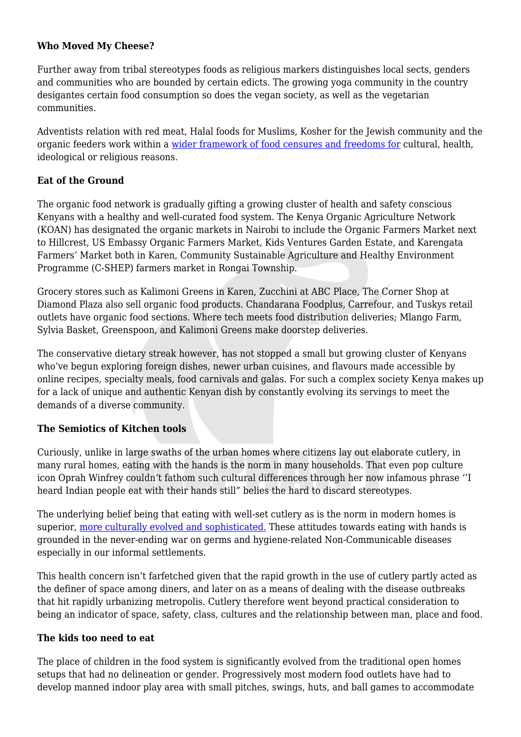#### **Who Moved My Cheese?**

Further away from tribal stereotypes foods as religious markers distinguishes local sects, genders and communities who are bounded by certain edicts. The growing yoga community in the country desigantes certain food consumption so does the vegan society, as well as the vegetarian communities.

Adventists relation with red meat, Halal foods for Muslims, Kosher for the Jewish community and the organic feeders work within a [wider framework of food censures and freedoms for](http://www.mit.edu/~allanmc/bourdieu1.pdf) cultural, health, ideological or religious reasons.

#### **Eat of the Ground**

The organic food network is gradually gifting a growing cluster of health and safety conscious Kenyans with a healthy and well-curated food system. The Kenya Organic Agriculture Network (KOAN) has designated the organic markets in Nairobi to include the Organic Farmers Market next to Hillcrest, US Embassy Organic Farmers Market, Kids Ventures Garden Estate, and Karengata Farmers' Market both in Karen, Community Sustainable Agriculture and Healthy Environment Programme (C-SHEP) farmers market in Rongai Township.

Grocery stores such as Kalimoni Greens in Karen, Zucchini at ABC Place, The Corner Shop at Diamond Plaza also sell organic food products. Chandarana Foodplus, Carrefour, and Tuskys retail outlets have organic food sections. Where tech meets food distribution deliveries; Mlango Farm, Sylvia Basket, Greenspoon, and Kalimoni Greens make doorstep deliveries.

The conservative dietary streak however, has not stopped a small but growing cluster of Kenyans who've begun exploring foreign dishes, newer urban cuisines, and flavours made accessible by online recipes, specialty meals, food carnivals and galas. For such a complex society Kenya makes up for a lack of unique and authentic Kenyan dish by constantly evolving its servings to meet the demands of a diverse community.

## **The Semiotics of Kitchen tools**

Curiously, unlike in large swaths of the urban homes where citizens lay out elaborate cutlery, in many rural homes, eating with the hands is the norm in many households. That even pop culture icon Oprah Winfrey couldn't fathom such cultural differences through her now infamous phrase ''I heard Indian people eat with their hands still" belies the hard to discard stereotypes.

The underlying belief being that eating with well-set cutlery as is the norm in modern homes is superior, [more culturally evolved and sophisticated.](https://wsimag.com/food-and-wine/12302-of-chopsticks-knives-forks-and-spoons) These attitudes towards eating with hands is grounded in the never-ending war on germs and hygiene-related Non-Communicable diseases especially in our informal settlements.

This health concern isn't farfetched given that the rapid growth in the use of cutlery partly acted as the definer of space among diners, and later on as a means of dealing with the disease outbreaks that hit rapidly urbanizing metropolis. Cutlery therefore went beyond practical consideration to being an indicator of space, safety, class, cultures and the relationship between man, place and food.

#### **The kids too need to eat**

The place of children in the food system is significantly evolved from the traditional open homes setups that had no delineation or gender. Progressively most modern food outlets have had to develop manned indoor play area with small pitches, swings, huts, and ball games to accommodate